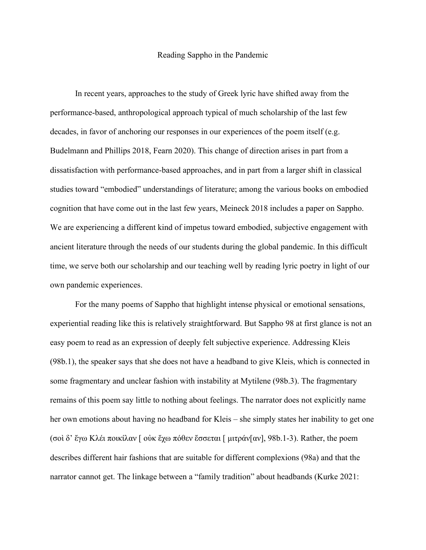## Reading Sappho in the Pandemic

In recent years, approaches to the study of Greek lyric have shifted away from the performance-based, anthropological approach typical of much scholarship of the last few decades, in favor of anchoring our responses in our experiences of the poem itself (e.g. Budelmann and Phillips 2018, Fearn 2020). This change of direction arises in part from a dissatisfaction with performance-based approaches, and in part from a larger shift in classical studies toward "embodied" understandings of literature; among the various books on embodied cognition that have come out in the last few years, Meineck 2018 includes a paper on Sappho. We are experiencing a different kind of impetus toward embodied, subjective engagement with ancient literature through the needs of our students during the global pandemic. In this difficult time, we serve both our scholarship and our teaching well by reading lyric poetry in light of our own pandemic experiences.

For the many poems of Sappho that highlight intense physical or emotional sensations, experiential reading like this is relatively straightforward. But Sappho 98 at first glance is not an easy poem to read as an expression of deeply felt subjective experience. Addressing Kleis (98b.1), the speaker says that she does not have a headband to give Kleis, which is connected in some fragmentary and unclear fashion with instability at Mytilene (98b.3). The fragmentary remains of this poem say little to nothing about feelings. The narrator does not explicitly name her own emotions about having no headband for Kleis – she simply states her inability to get one (σοὶ δ' ἔγω Κλέι ποικίλαν [ οὐκ ἔχω πόθεν ἔσσεται [ μιτράν[αν], 98b.1-3). Rather, the poem describes different hair fashions that are suitable for different complexions (98a) and that the narrator cannot get. The linkage between a "family tradition" about headbands (Kurke 2021: